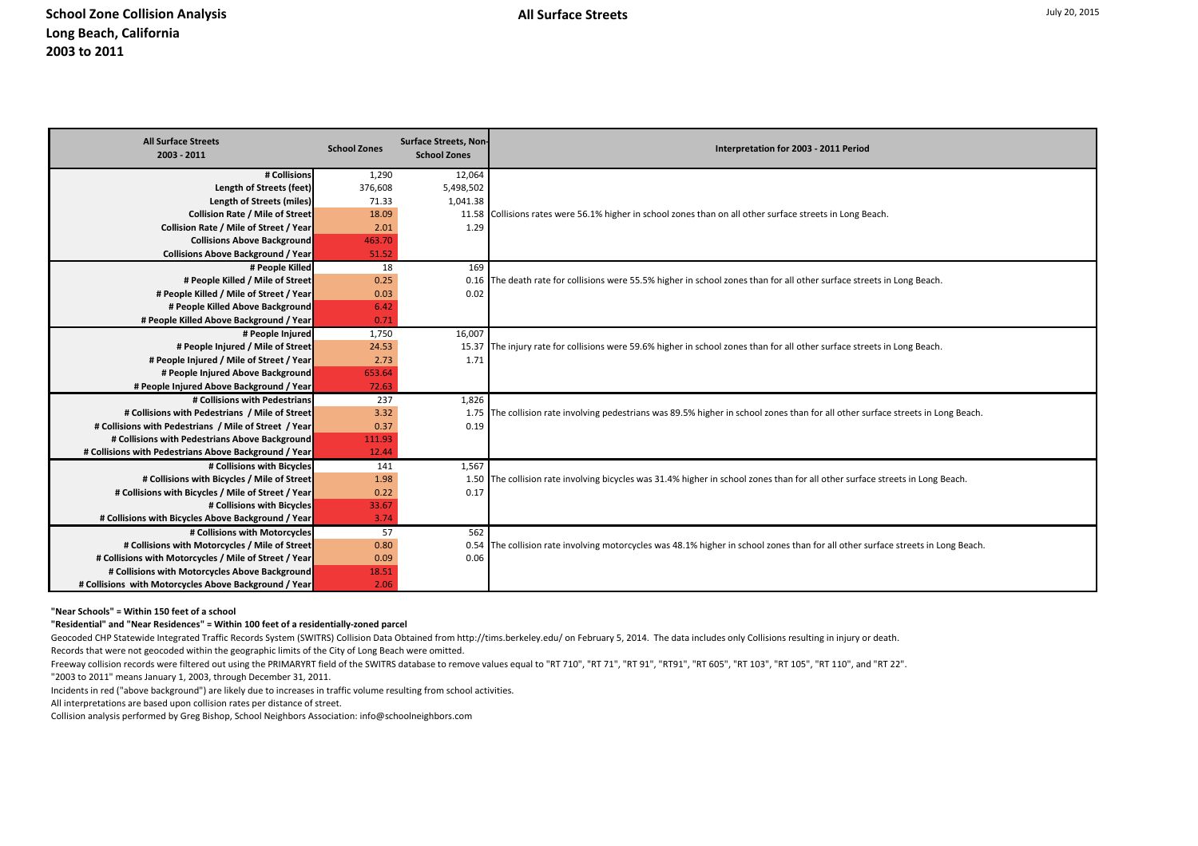| 12,064<br># Collisions<br>1,290<br>Length of Streets (feet)<br>376,608                                                                                                                                                                              |  |
|-----------------------------------------------------------------------------------------------------------------------------------------------------------------------------------------------------------------------------------------------------|--|
|                                                                                                                                                                                                                                                     |  |
| 5,498,502                                                                                                                                                                                                                                           |  |
| <b>Length of Streets (miles)</b><br>71.33<br>1,041.38                                                                                                                                                                                               |  |
| Collision Rate / Mile of Street<br>18.09<br>11.58 Collisions rates were 56.1% higher in school zones than on all other surface streets in Long Beach.                                                                                               |  |
| Collision Rate / Mile of Street / Year<br>2.01<br>1.29                                                                                                                                                                                              |  |
| <b>Collisions Above Background</b><br>463.70                                                                                                                                                                                                        |  |
| <b>Collisions Above Background / Year</b><br>51.52                                                                                                                                                                                                  |  |
| 18<br>169<br># People Killed                                                                                                                                                                                                                        |  |
| # People Killed / Mile of Street<br>0.25<br>0.16 The death rate for collisions were 55.5% higher in school zones than for all other surface streets in Long Beach.                                                                                  |  |
| # People Killed / Mile of Street / Year<br>0.03<br>0.02<br># People Killed Above Background<br>6.42                                                                                                                                                 |  |
| # People Killed Above Background / Year<br>0.71                                                                                                                                                                                                     |  |
| # People Injured<br>1,750<br>16,007                                                                                                                                                                                                                 |  |
| 24.53<br># People Injured / Mile of Street<br>15.37 The injury rate for collisions were 59.6% higher in school zones than for all other surface streets in Long Beach.                                                                              |  |
| # People Injured / Mile of Street / Year<br>2.73<br>1.71                                                                                                                                                                                            |  |
| 653.64<br># People Injured Above Background                                                                                                                                                                                                         |  |
| # People Injured Above Background / Year<br>72.63                                                                                                                                                                                                   |  |
| # Collisions with Pedestrians<br>1,826<br>237                                                                                                                                                                                                       |  |
| # Collisions with Pedestrians / Mile of Street<br>3.32<br>1.75 The collision rate involving pedestrians was 89.5% higher in school zones than for all other surface streets in Long Beach.                                                          |  |
| 0.37<br># Collisions with Pedestrians / Mile of Street / Year<br>0.19                                                                                                                                                                               |  |
| # Collisions with Pedestrians Above Background<br>111.93                                                                                                                                                                                            |  |
| # Collisions with Pedestrians Above Background / Year<br>12.44                                                                                                                                                                                      |  |
| # Collisions with Bicycles<br>1,567<br>141                                                                                                                                                                                                          |  |
| # Collisions with Bicycles / Mile of Street<br>1.98<br>1.50 The collision rate involving bicycles was 31.4% higher in school zones than for all other surface streets in Long Beach.                                                                |  |
| # Collisions with Bicycles / Mile of Street / Year<br>0.22<br>0.17                                                                                                                                                                                  |  |
| # Collisions with Bicycles<br>33.67                                                                                                                                                                                                                 |  |
| # Collisions with Bicycles Above Background / Year<br>3.74                                                                                                                                                                                          |  |
| # Collisions with Motorcycles<br>57<br>562                                                                                                                                                                                                          |  |
| # Collisions with Motorcycles / Mile of Street<br>0.80<br>0.54 The collision rate involving motorcycles was 48.1% higher in school zones than for all other surface streets in Long Beach.<br># Collisions with Motorcycles / Mile of Street / Year |  |
| 0.09<br>0.06<br># Collisions with Motorcycles Above Background<br>18.51                                                                                                                                                                             |  |
| # Collisions with Motorcycles Above Background / Year<br>2.06                                                                                                                                                                                       |  |

**"Near Schools" = Within 150 feet of a school**

**"Residential" and "Near Residences" = Within 100 feet of a residentially-zoned parcel**

Geocoded CHP Statewide Integrated Traffic Records System (SWITRS) Collision Data Obtained from http://tims.berkeley.edu/ on February 5, 2014. The data includes only Collisions resulting in injury or death.

Records that were not geocoded within the geographic limits of the City of Long Beach were omitted.

Freeway collision records were filtered out using the PRIMARYRT field of the SWITRS database to remove values equal to "RT 710", "RT 71", "RT 91", "RT91", "RT 605", "RT 103", "RT 105", "RT 110", and "RT 22".

"2003 to 2011" means January 1, 2003, through December 31, 2011.

Incidents in red ("above background") are likely due to increases in traffic volume resulting from school activities.

All interpretations are based upon collision rates per distance of street.

Collision analysis performed by Greg Bishop, School Neighbors Association: info@schoolneighbors.com